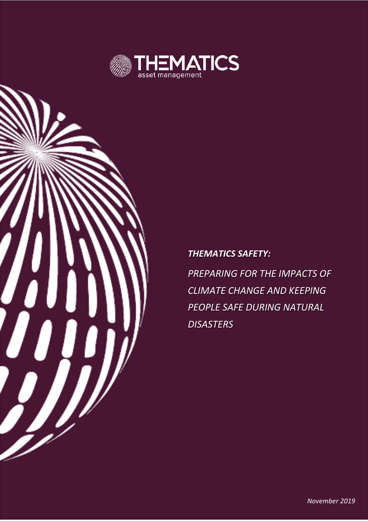

## *THEMATICS SAFETY:*

*PREPARING FOR THE IMPACTS OF CLIMATE CHANGE AND KEEPING PEOPLE SAFE DURING NATURAL DISASTERS*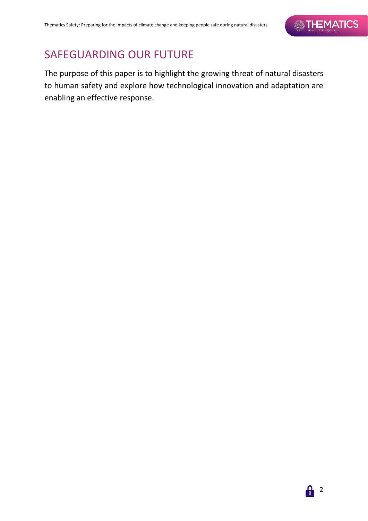# SAFEGUARDING OUR FUTURE

The purpose of this paper is to highlight the growing threat of natural disasters to human safety and explore how technological innovation and adaptation are enabling an effective response.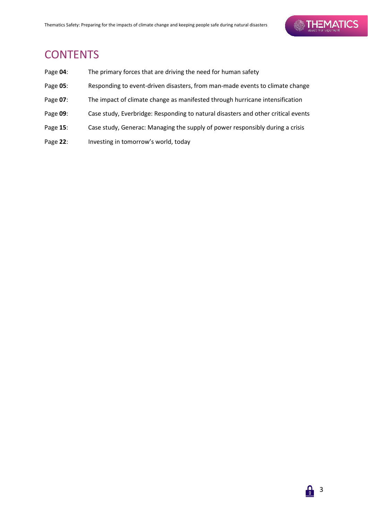# **CONTENTS**

| Page 04: | The primary forces that are driving the need for human safety                     |
|----------|-----------------------------------------------------------------------------------|
| Page 05: | Responding to event-driven disasters, from man-made events to climate change      |
| Page 07: | The impact of climate change as manifested through hurricane intensification      |
| Page 09: | Case study, Everbridge: Responding to natural disasters and other critical events |
| Page 15: | Case study, Generac: Managing the supply of power responsibly during a crisis     |
| Page 22: | Investing in tomorrow's world, today                                              |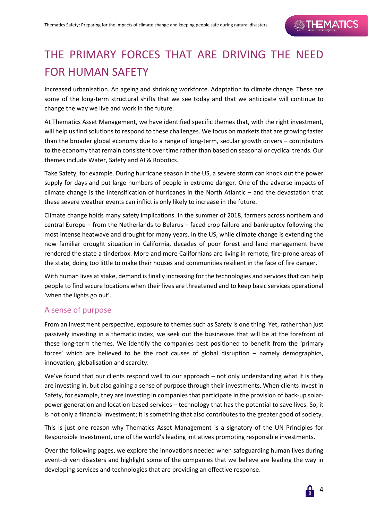# THE PRIMARY FORCES THAT ARE DRIVING THE NEED FOR HUMAN SAFETY

Increased urbanisation. An ageing and shrinking workforce. Adaptation to climate change. These are some of the long-term structural shifts that we see today and that we anticipate will continue to change the way we live and work in the future.

At Thematics Asset Management, we have identified specific themes that, with the right investment, will help us find solutions to respond to these challenges. We focus on markets that are growing faster than the broader global economy due to a range of long-term, secular growth drivers – contributors to the economy that remain consistent over time rather than based on seasonal or cyclical trends. Our themes include Water, Safety and AI & Robotics.

Take Safety, for example. During hurricane season in the US, a severe storm can knock out the power supply for days and put large numbers of people in extreme danger. One of the adverse impacts of climate change is the intensification of hurricanes in the North Atlantic – and the devastation that these severe weather events can inflict is only likely to increase in the future.

Climate change holds many safety implications. In the summer of 2018, farmers across northern and central Europe – from the Netherlands to Belarus – faced crop failure and bankruptcy following the most intense heatwave and drought for many years. In the US, while climate change is extending the now familiar drought situation in California, decades of poor forest and land management have rendered the state a tinderbox. More and more Californians are living in remote, fire-prone areas of the state, doing too little to make their houses and communities resilient in the face of fire danger.

With human lives at stake, demand is finally increasing for the technologies and services that can help people to find secure locations when their lives are threatened and to keep basic services operational 'when the lights go out'.

### A sense of purpose

From an investment perspective, exposure to themes such as Safety is one thing. Yet, rather than just passively investing in a thematic index, we seek out the businesses that will be at the forefront of these long-term themes. We identify the companies best positioned to benefit from the 'primary forces' which are believed to be the root causes of global disruption – namely demographics, innovation, globalisation and scarcity.

We've found that our clients respond well to our approach – not only understanding what it is they are investing in, but also gaining a sense of purpose through their investments. When clients invest in Safety, for example, they are investing in companies that participate in the provision of back-up solarpower generation and location-based services – technology that has the potential to save lives. So, it is not only a financial investment; it is something that also contributes to the greater good of society.

This is just one reason why Thematics Asset Management is a signatory of the UN Principles for Responsible Investment, one of the world's leading initiatives promoting responsible investments.

Over the following pages, we explore the innovations needed when safeguarding human lives during event-driven disasters and highlight some of the companies that we believe are leading the way in developing services and technologies that are providing an effective response.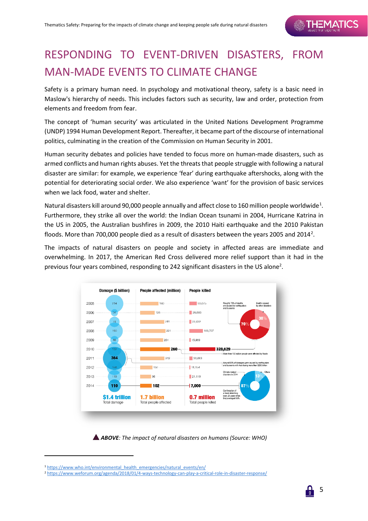# RESPONDING TO EVENT-DRIVEN DISASTERS, FROM MAN-MADE EVENTS TO CLIMATE CHANGE

Safety is a primary human need. In psychology and motivational theory, safety is a basic need in Maslow's hierarchy of needs. This includes factors such as security, law and order, protection from elements and freedom from fear.

The concept of 'human security' was articulated in the United Nations Development Programme (UNDP) 1994 Human Development Report. Thereafter, it became part of the discourse of international politics, culminating in the creation of the Commission on Human Security in 2001.

Human security debates and policies have tended to focus more on human-made disasters, such as armed conflicts and human rights abuses. Yet the threats that people struggle with following a natural disaster are similar: for example, we experience 'fear' during earthquake aftershocks, along with the potential for deteriorating social order. We also experience 'want' for the provision of basic services when we lack food, water and shelter.

Natural disasters kill around 90,000 people annually and affect close to [1](#page-4-0)60 million people worldwide<sup>1</sup>. Furthermore, they strike all over the world: the Indian Ocean tsunami in 2004, Hurricane Katrina in the US in 2005, the Australian bushfires in 2009, the 2010 Haiti earthquake and the 2010 Pakistan floods. More than 700,000 people died as a result of disasters between the years [2](#page-4-1)005 and 2014<sup>2</sup>.

The impacts of natural disasters on people and society in affected areas are immediate and overwhelming. In 2017, the American Red Cross delivered more relief support than it had in the previous four years combined, responding to 242 significant disasters in the US alone<sup>2</sup>.



*ABOVE: The impact of natural disasters on humans (Source: WHO)*

<sup>&</sup>lt;sup>1</sup> [https://www.who.int/environmental\\_health\\_emergencies/natural\\_events/en/](https://www.who.int/environmental_health_emergencies/natural_events/en/)

<span id="page-4-1"></span><span id="page-4-0"></span><sup>2</sup> <https://www.weforum.org/agenda/2018/01/4-ways-technology-can-play-a-critical-role-in-disaster-response/>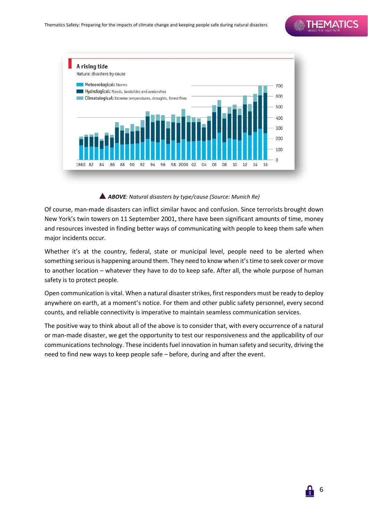

#### *ABOVE: Natural disasters by type/cause (Source: Munich Re)*

Of course, man-made disasters can inflict similar havoc and confusion. Since terrorists brought down New York's twin towers on 11 September 2001, there have been significant amounts of time, money and resources invested in finding better ways of communicating with people to keep them safe when major incidents occur.

Whether it's at the country, federal, state or municipal level, people need to be alerted when something serious is happening around them. They need to know when it's time to seek cover or move to another location – whatever they have to do to keep safe. After all, the whole purpose of human safety is to protect people.

Open communication is vital. When a natural disaster strikes, first responders must be ready to deploy anywhere on earth, at a moment's notice. For them and other public safety personnel, every second counts, and reliable connectivity is imperative to maintain seamless communication services.

The positive way to think about all of the above is to consider that, with every occurrence of a natural or man-made disaster, we get the opportunity to test our responsiveness and the applicability of our communications technology. These incidents fuel innovation in human safety and security, driving the need to find new ways to keep people safe – before, during and after the event.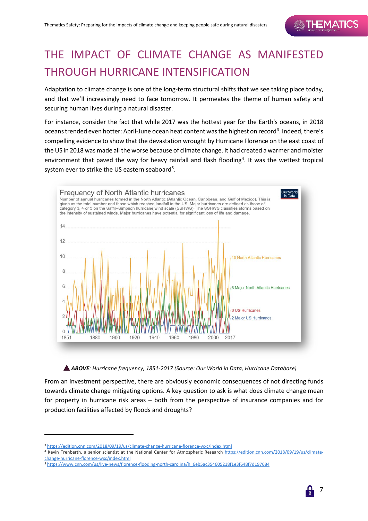# THE IMPACT OF CLIMATE CHANGE AS MANIFESTED THROUGH HURRICANE INTENSIFICATION

Adaptation to climate change is one of the long-term structural shifts that we see taking place today, and that we'll increasingly need to face tomorrow. It permeates the theme of human safety and securing human lives during a natural disaster.

For instance, consider the fact that while 2017 was the hottest year for the Earth's oceans, in 2018 oceans trended even hotter: April-June ocean heat content was the highest on record<sup>[3](#page-6-0)</sup>. Indeed, there's compelling evidence to show that the devastation wrought by Hurricane Florence on the east coast of the US in 2018 was made all the worse because of climate change. It had created a warmer and moister environment that paved the way for heavy rainfall and flash flooding<sup>[4](#page-6-1)</sup>. It was the wettest tropical system ever to strike the US eastern seaboard<sup>[5](#page-6-2)</sup>.



*ABOVE: Hurricane frequency, 1851-2017 (Source: Our World in Data, Hurricane Database)*

From an investment perspective, there are obviously economic consequences of not directing funds towards climate change mitigating options. A key question to ask is what does climate change mean for property in hurricane risk areas – both from the perspective of insurance companies and for production facilities affected by floods and droughts?



<span id="page-6-0"></span><sup>3</sup> <https://edition.cnn.com/2018/09/19/us/climate-change-hurricane-florence-wxc/index.html>

<span id="page-6-1"></span><sup>4</sup> Kevin Trenberth, a senior scientist at the National Center for Atmospheric Research [https://edition.cnn.com/2018/09/19/us/climate](https://edition.cnn.com/2018/09/19/us/climate-change-hurricane-florence-wxc/index.html)[change-hurricane-florence-wxc/index.html](https://edition.cnn.com/2018/09/19/us/climate-change-hurricane-florence-wxc/index.html)

<span id="page-6-2"></span><sup>5</sup> [https://www.cnn.com/us/live-news/florence-flooding-north-carolina/h\\_6eb5ac354605218f1e3f648f7d197684](https://www.cnn.com/us/live-news/florence-flooding-north-carolina/h_6eb5ac354605218f1e3f648f7d197684)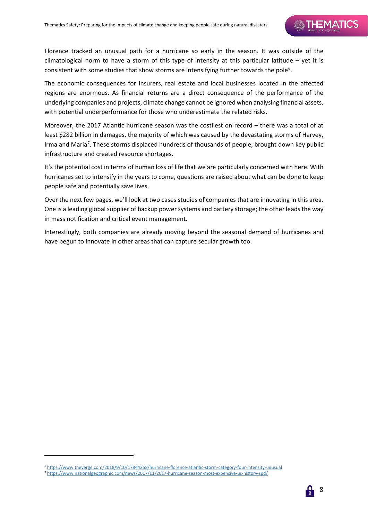Florence tracked an unusual path for a hurricane so early in the season. It was outside of the climatological norm to have a storm of this type of intensity at this particular latitude – yet it is consistent with some studies that show storms are intensifying further towards the pole<sup>[6](#page-7-0)</sup>.

The economic consequences for insurers, real estate and local businesses located in the affected regions are enormous. As financial returns are a direct consequence of the performance of the underlying companies and projects, climate change cannot be ignored when analysing financial assets, with potential underperformance for those who underestimate the related risks.

Moreover, the 2017 Atlantic hurricane season was the costliest on record – there was a total of at least \$282 billion in damages, the majority of which was caused by the devastating storms of Harvey, Irma and Maria<sup>[7](#page-7-1)</sup>. These storms displaced hundreds of thousands of people, brought down key public infrastructure and created resource shortages.

It's the potential cost in terms of human loss of life that we are particularly concerned with here. With hurricanes set to intensify in the years to come, questions are raised about what can be done to keep people safe and potentially save lives.

Over the next few pages, we'll look at two cases studies of companies that are innovating in this area. One is a leading global supplier of backup power systems and battery storage; the other leads the way in mass notification and critical event management.

Interestingly, both companies are already moving beyond the seasonal demand of hurricanes and have begun to innovate in other areas that can capture secular growth too.

<span id="page-7-0"></span><sup>6</sup> <https://www.theverge.com/2018/9/10/17844258/hurricane-florence-atlantic-storm-category-four-intensity-unusual>

<span id="page-7-1"></span><sup>7</sup> <https://www.nationalgeographic.com/news/2017/11/2017-hurricane-season-most-expensive-us-history-spd/>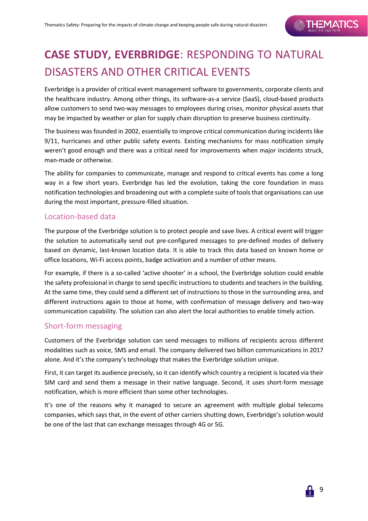# **CASE STUDY, EVERBRIDGE**: RESPONDING TO NATURAL DISASTERS AND OTHER CRITICAL EVENTS

Everbridge is a provider of critical event management software to governments, corporate clients and the healthcare industry. Among other things, its software-as-a service (SaaS), cloud-based products allow customers to send two-way messages to employees during crises, monitor physical assets that may be impacted by weather or plan for supply chain disruption to preserve business continuity.

The business was founded in 2002, essentially to improve critical communication during incidents like 9/11, hurricanes and other public safety events. Existing mechanisms for mass notification simply weren't good enough and there was a critical need for improvements when major incidents struck, man-made or otherwise.

The ability for companies to communicate, manage and respond to critical events has come a long way in a few short years. Everbridge has led the evolution, taking the core foundation in mass notification technologies and broadening out with a complete suite of tools that organisations can use during the most important, pressure-filled situation.

### Location-based data

The purpose of the Everbridge solution is to protect people and save lives. A critical event will trigger the solution to automatically send out pre-configured messages to pre-defined modes of delivery based on dynamic, last-known location data. It is able to track this data based on known home or office locations, Wi-Fi access points, badge activation and a number of other means.

For example, if there is a so-called 'active shooter' in a school, the Everbridge solution could enable the safety professional in charge to send specific instructions to students and teachers in the building. At the same time, they could send a different set of instructions to those in the surrounding area, and different instructions again to those at home, with confirmation of message delivery and two-way communication capability. The solution can also alert the local authorities to enable timely action.

### Short-form messaging

Customers of the Everbridge solution can send messages to millions of recipients across different modalities such as voice, SMS and email. The company delivered two billion communications in 2017 alone. And it's the company's technology that makes the Everbridge solution unique.

First, it can target its audience precisely, so it can identify which country a recipient is located via their SIM card and send them a message in their native language. Second, it uses short-form message notification, which is more efficient than some other technologies.

It's one of the reasons why it managed to secure an agreement with multiple global telecoms companies, which says that, in the event of other carriers shutting down, Everbridge's solution would be one of the last that can exchange messages through 4G or 5G.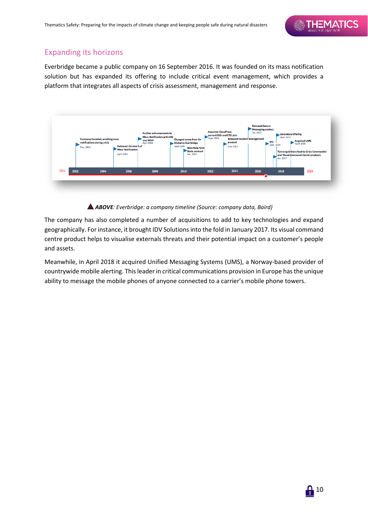## Expanding its horizons

Everbridge became a public company on 16 September 2016. It was founded on its mass notification solution but has expanded its offering to include critical event management, which provides a platform that integrates all aspects of crisis assessment, management and response.



#### *ABOVE: Everbridge: a company timeline (Source: company data, Baird)*

The company has also completed a number of acquisitions to add to key technologies and expand geographically. For instance, it brought IDV Solutions into the fold in January 2017. Its visual command centre product helps to visualise externals threats and their potential impact on a customer's people and assets.

Meanwhile, in April 2018 it acquired Unified Messaging Systems (UMS), a Norway-based provider of countrywide mobile alerting. This leader in critical communications provision in Europe has the unique ability to message the mobile phones of anyone connected to a carrier's mobile phone towers.

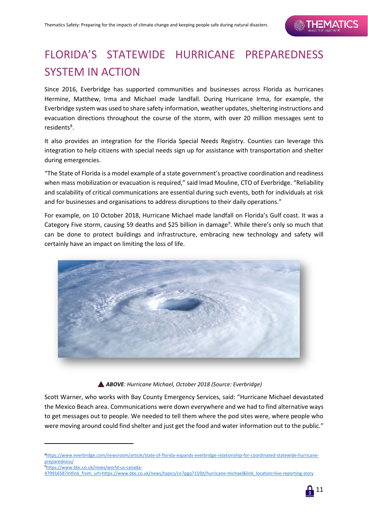# FLORIDA'S STATEWIDE HURRICANE PREPAREDNESS SYSTEM IN ACTION

Since 2016, Everbridge has supported communities and businesses across Florida as hurricanes Hermine, Matthew, Irma and Michael made landfall. During Hurricane Irma, for example, the Everbridge system was used to share safety information, weather updates, sheltering instructions and evacuation directions throughout the course of the storm, with over 20 million messages sent to residents<sup>[8](#page-10-0)</sup>.

It also provides an integration for the Florida Special Needs Registry. Counties can leverage this integration to help citizens with special needs sign up for assistance with transportation and shelter during emergencies.

"The State of Florida is a model example of a state government's proactive coordination and readiness when mass mobilization or evacuation is required," said Imad Mouline, CTO of Everbridge. "Reliability and scalability of critical communications are essential during such events, both for individuals at risk and for businesses and organisations to address disruptions to their daily operations."

For example, on 10 October 2018, Hurricane Michael made landfall on Florida's Gulf coast. It was a Category Five storm, causing 5[9](#page-10-1) deaths and \$25 billion in damage<sup>9</sup>. While there's only so much that can be done to protect buildings and infrastructure, embracing new technology and safety will certainly have an impact on limiting the loss of life.



#### *ABOVE: Hurricane Michael, October 2018 (Source: Everbridge)*

Scott Warner, who works with Bay County Emergency Services, said: "Hurricane Michael devastated the Mexico Beach area. Communications were down everywhere and we had to find alternative ways to get messages out to people. We needed to tell them where the pod sites were, where people who were moving around could find shelter and just get the food and water information out to the public."

<span id="page-10-1"></span>[9https://www.bbc.co.uk/news/world-us-canada-](https://www.bbc.co.uk/news/world-us-canada-47991658?intlink_from_url=https://www.bbc.co.uk/news/topics/cn7pgq7159jt/hurricane-michael&link_location=live-reporting-story)

[<sup>47991658?</sup>intlink\\_from\\_url=https://www.bbc.co.uk/news/topics/cn7pgq7159jt/hurricane-michael&link\\_location=live-reporting-story](https://www.bbc.co.uk/news/world-us-canada-47991658?intlink_from_url=https://www.bbc.co.uk/news/topics/cn7pgq7159jt/hurricane-michael&link_location=live-reporting-story)



<span id="page-10-0"></span>[<sup>8</sup>https://www.everbridge.com/newsroom/article/state-of-florida-expands-everbridge-relationship-for-coordinated-statewide-hurricane](https://www.everbridge.com/newsroom/article/state-of-florida-expands-everbridge-relationship-for-coordinated-statewide-hurricane-preparedness/)[preparedness/](https://www.everbridge.com/newsroom/article/state-of-florida-expands-everbridge-relationship-for-coordinated-statewide-hurricane-preparedness/)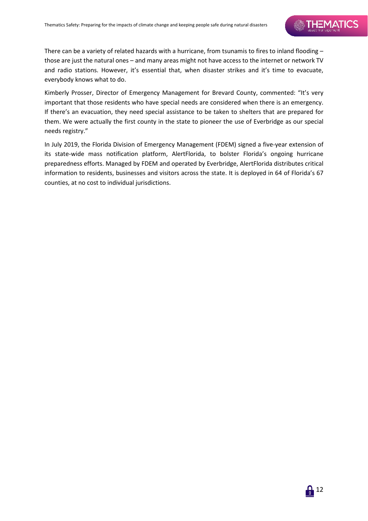# **SAILTEMATICS**

There can be a variety of related hazards with a hurricane, from tsunamis to fires to inland flooding – those are just the natural ones – and many areas might not have access to the internet or network TV and radio stations. However, it's essential that, when disaster strikes and it's time to evacuate, everybody knows what to do.

Kimberly Prosser, Director of Emergency Management for Brevard County, commented: "It's very important that those residents who have special needs are considered when there is an emergency. If there's an evacuation, they need special assistance to be taken to shelters that are prepared for them. We were actually the first county in the state to pioneer the use of Everbridge as our special needs registry."

In July 2019, the Florida Division of Emergency Management (FDEM) signed a five-year extension of its state-wide mass notification platform, AlertFlorida, to bolster Florida's ongoing hurricane preparedness efforts. Managed by FDEM and operated by Everbridge, AlertFlorida distributes critical information to residents, businesses and visitors across the state. It is deployed in 64 of Florida's 67 counties, at no cost to individual jurisdictions.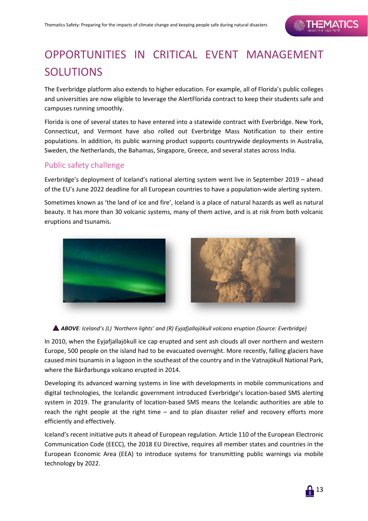# OPPORTUNITIES IN CRITICAL EVENT MANAGEMENT SOLUTIONS

The Everbridge platform also extends to higher education. For example, all of Florida's public colleges and universities are now eligible to leverage the AlertFlorida contract to keep their students safe and campuses running smoothly.

Florida is one of several states to have entered into a statewide contract with Everbridge. New York, Connecticut, and Vermont have also rolled out Everbridge Mass Notification to their entire populations. In addition, its public warning product supports countrywide deployments in Australia, Sweden, the Netherlands, the Bahamas, Singapore, Greece, and several states across India.

## Public safety challenge

Everbridge's deployment of Iceland's national alerting system went live in September 2019 – ahead of the EU's June 2022 deadline for all European countries to have a population-wide alerting system.

Sometimes known as 'the land of ice and fire', Iceland is a place of natural hazards as well as natural beauty. It has more than 30 volcanic systems, many of them active, and is at risk from both volcanic eruptions and tsunamis.





#### *ABOVE: Iceland's (L) 'Northern lights' and (R) Eyjafjallajökull volcano eruption (Source: Everbridge)*

In 2010, when the Eyjafjallajökull ice cap erupted and sent ash clouds all over northern and western Europe, 500 people on the island had to be evacuated overnight. More recently, falling glaciers have caused mini tsunamis in a lagoon in the southeast of the country and in the Vatnajökull National Park, where the Bárðarbunga volcano erupted in 2014.

Developing its advanced warning systems in line with developments in mobile communications and digital technologies, the Icelandic government introduced Everbridge's location-based SMS alerting system in 2019. The granularity of location-based SMS means the Icelandic authorities are able to reach the right people at the right time – and to plan disaster relief and recovery efforts more efficiently and effectively.

Iceland's recent initiative puts it ahead of European regulation. Article 110 of the European Electronic Communication Code (EECC), the 2018 EU Directive, requires all member states and countries in the European Economic Area (EEA) to introduce systems for transmitting public warnings via mobile technology by 2022.

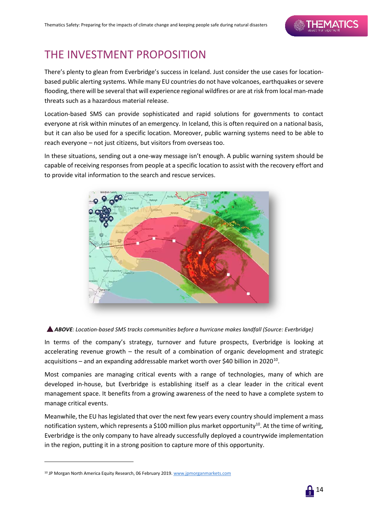# THE INVESTMENT PROPOSITION

There's plenty to glean from Everbridge's success in Iceland. Just consider the use cases for locationbased public alerting systems. While many EU countries do not have volcanoes, earthquakes or severe flooding, there will be several that will experience regional wildfires or are at risk from local man-made threats such as a hazardous material release.

Location-based SMS can provide sophisticated and rapid solutions for governments to contact everyone at risk within minutes of an emergency. In Iceland, this is often required on a national basis, but it can also be used for a specific location. Moreover, public warning systems need to be able to reach everyone – not just citizens, but visitors from overseas too.

In these situations, sending out a one-way message isn't enough. A public warning system should be capable of receiving responses from people at a specific location to assist with the recovery effort and to provide vital information to the search and rescue services.





In terms of the company's strategy, turnover and future prospects, Everbridge is looking at accelerating revenue growth – the result of a combination of organic development and strategic acquisitions – and an expanding addressable market worth over \$40 billion in 2020[10.](#page-13-0)

Most companies are managing critical events with a range of technologies, many of which are developed in-house, but Everbridge is establishing itself as a clear leader in the critical event management space. It benefits from a growing awareness of the need to have a complete system to manage critical events.

Meanwhile, the EU has legislated that over the next few years every country should implement a mass notification system, which represents a \$100 million plus market opportunity<sup>10</sup>. At the time of writing, Everbridge is the only company to have already successfully deployed a countrywide implementation in the region, putting it in a strong position to capture more of this opportunity.

<span id="page-13-0"></span><sup>&</sup>lt;sup>10</sup> JP Morgan North America Equity Research, 06 February 2019[. www.jpmorganmarkets.com](http://www.jpmorganmarkets.com/)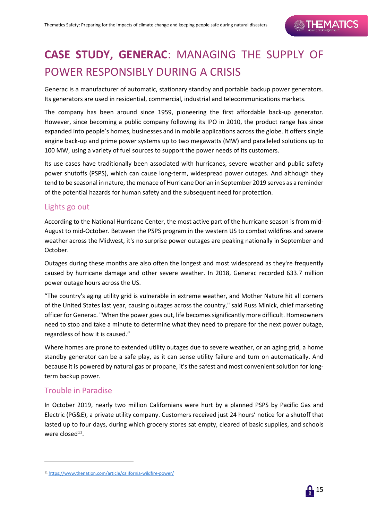# **CASE STUDY, GENERAC**: MANAGING THE SUPPLY OF POWER RESPONSIBLY DURING A CRISIS

Generac is a manufacturer of automatic, stationary standby and portable backup power generators. Its generators are used in residential, commercial, industrial and telecommunications markets.

The company has been around since 1959, pioneering the first affordable back-up generator. However, since becoming a public company following its IPO in 2010, the product range has since expanded into people's homes, businesses and in mobile applications across the globe. It offers single engine back-up and prime power systems up to two megawatts (MW) and paralleled solutions up to 100 MW, using a variety of fuel sources to support the power needs of its customers.

Its use cases have traditionally been associated with hurricanes, severe weather and public safety power shutoffs (PSPS), which can cause long-term, widespread power outages. And although they tend to be seasonal in nature, the menace of Hurricane Dorian in September 2019 serves as a reminder of the potential hazards for human safety and the subsequent need for protection.

### Lights go out

According to the National Hurricane Center, the most active part of the hurricane season is from mid-August to mid-October. Between the PSPS program in the western US to combat wildfires and severe weather across the Midwest, it's no surprise power outages are peaking nationally in September and October.

Outages during these months are also often the longest and most widespread as they're frequently caused by hurricane damage and other severe weather. In 2018, Generac recorded 633.7 million power outage hours across the US.

"The country's aging utility grid is vulnerable in extreme weather, and Mother Nature hit all corners of the United States last year, causing outages across the country," said Russ Minick, chief marketing officer for Generac. "When the power goes out, life becomes significantly more difficult. Homeowners need to stop and take a minute to determine what they need to prepare for the next power outage, regardless of how it is caused."

Where homes are prone to extended utility outages due to severe weather, or an aging grid, a home standby generator can be a safe play, as it can sense utility failure and turn on automatically. And because it is powered by natural gas or propane, it's the safest and most convenient solution for longterm backup power.

### Trouble in Paradise

1

In October 2019, nearly two million Californians were hurt by a planned PSPS by Pacific Gas and Electric (PG&E), a private utility company. Customers received just 24 hours' notice for a shutoff that lasted up to four days, during which grocery stores sat empty, cleared of basic supplies, and schools were closed $^{11}$  $^{11}$  $^{11}$ .

<span id="page-14-0"></span><sup>11</sup> <https://www.thenation.com/article/california-wildfire-power/>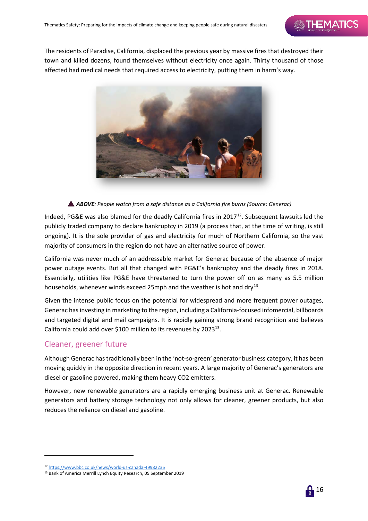The residents of Paradise, California, displaced the previous year by massive fires that destroyed their town and killed dozens, found themselves without electricity once again. Thirty thousand of those affected had medical needs that required access to electricity, putting them in harm's way.



#### *ABOVE: People watch from a safe distance as a California fire burns (Source: Generac)*

Indeed, PG&E was also blamed for the deadly California fires in  $2017^{12}$ . Subsequent lawsuits led the publicly traded company to declare bankruptcy in 2019 (a process that, at the time of writing, is still ongoing). It is the sole provider of gas and electricity for much of Northern California, so the vast majority of consumers in the region do not have an alternative source of power.

California was never much of an addressable market for Generac because of the absence of major power outage events. But all that changed with PG&E's bankruptcy and the deadly fires in 2018. Essentially, utilities like PG&E have threatened to turn the power off on as many as 5.5 million households, whenever winds exceed 25mph and the weather is hot and dry<sup>13</sup>.

Given the intense public focus on the potential for widespread and more frequent power outages, Generac has investing in marketing to the region, including a California-focused infomercial, billboards and targeted digital and mail campaigns. It is rapidly gaining strong brand recognition and believes California could add over \$100 million to its revenues by 2023<sup>13</sup>.

### Cleaner, greener future

1

Although Generac has traditionally been in the 'not-so-green' generator business category, it has been moving quickly in the opposite direction in recent years. A large majority of Generac's generators are diesel or gasoline powered, making them heavy CO2 emitters.

However, new renewable generators are a rapidly emerging business unit at Generac. Renewable generators and battery storage technology not only allows for cleaner, greener products, but also reduces the reliance on diesel and gasoline.

<span id="page-15-0"></span><sup>12</sup> <https://www.bbc.co.uk/news/world-us-canada-49982236>

<span id="page-15-1"></span><sup>13</sup> Bank of America Merrill Lynch Equity Research, 05 September 2019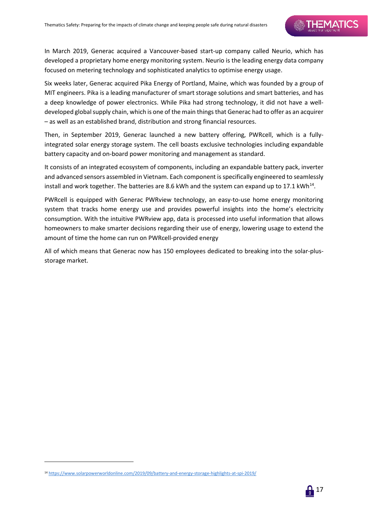In March 2019, Generac acquired a Vancouver-based start-up company called Neurio, which has developed a proprietary home energy monitoring system. Neurio is the leading energy data company focused on metering technology and sophisticated analytics to optimise energy usage.

Six weeks later, Generac acquired Pika Energy of Portland, Maine, which was founded by a group of MIT engineers. Pika is a leading manufacturer of smart storage solutions and smart batteries, and has a deep knowledge of power electronics. While Pika had strong technology, it did not have a welldeveloped global supply chain, which is one of the main things that Generac had to offer as an acquirer – as well as an established brand, distribution and strong financial resources.

Then, in September 2019, Generac launched a new battery offering, PWRcell, which is a fullyintegrated solar energy storage system. The cell boasts exclusive technologies including expandable battery capacity and on-board power monitoring and management as standard.

It consists of an integrated ecosystem of components, including an expandable battery pack, inverter and advanced sensors assembled in Vietnam. Each component is specifically engineered to seamlessly install and work together. The batteries are 8.6 kWh and the system can expand up to 17.1 kWh<sup>[14](#page-16-0)</sup>.

PWRcell is equipped with Generac PWRview technology, an easy-to-use home energy monitoring system that tracks home energy use and provides powerful insights into the home's electricity consumption. With the intuitive PWRview app, data is processed into useful information that allows homeowners to make smarter decisions regarding their use of energy, lowering usage to extend the amount of time the home can run on PWRcell-provided energy

All of which means that Generac now has 150 employees dedicated to breaking into the solar-plusstorage market.

<span id="page-16-0"></span><sup>14</sup> <https://www.solarpowerworldonline.com/2019/09/battery-and-energy-storage-highlights-at-spi-2019/>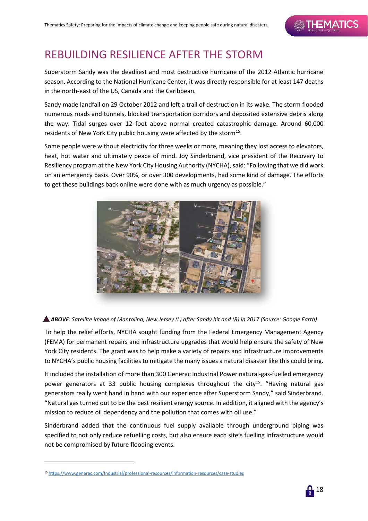# REBUILDING RESILIENCE AFTER THE STORM

Superstorm Sandy was the deadliest and most destructive hurricane of the 2012 Atlantic hurricane season. According to the National Hurricane Center, it was directly responsible for at least 147 deaths in the north-east of the US, Canada and the Caribbean.

Sandy made landfall on 29 October 2012 and left a trail of destruction in its wake. The storm flooded numerous roads and tunnels, blocked transportation corridors and deposited extensive debris along the way. Tidal surges over 12 foot above normal created catastrophic damage. Around 60,000 residents of New York City public housing were affected by the storm<sup>15</sup>.

Some people were without electricity for three weeks or more, meaning they lost access to elevators, heat, hot water and ultimately peace of mind. Joy Sinderbrand, vice president of the Recovery to Resiliency program at the New York City Housing Authority (NYCHA), said: "Following that we did work on an emergency basis. Over 90%, or over 300 developments, had some kind of damage. The efforts to get these buildings back online were done with as much urgency as possible."





To help the relief efforts, NYCHA sought funding from the Federal Emergency Management Agency (FEMA) for permanent repairs and infrastructure upgrades that would help ensure the safety of New York City residents. The grant was to help make a variety of repairs and infrastructure improvements to NYCHA's public housing facilities to mitigate the many issues a natural disaster like this could bring.

It included the installation of more than 300 Generac Industrial Power natural-gas-fuelled emergency power generators at 33 public housing complexes throughout the city<sup>15</sup>. "Having natural gas generators really went hand in hand with our experience after Superstorm Sandy," said Sinderbrand. "Natural gas turned out to be the best resilient energy source. In addition, it aligned with the agency's mission to reduce oil dependency and the pollution that comes with oil use."

Sinderbrand added that the continuous fuel supply available through underground piping was specified to not only reduce refuelling costs, but also ensure each site's fuelling infrastructure would not be compromised by future flooding events.



<span id="page-17-0"></span><sup>15</sup> <https://www.generac.com/Industrial/professional-resources/information-resources/case-studies>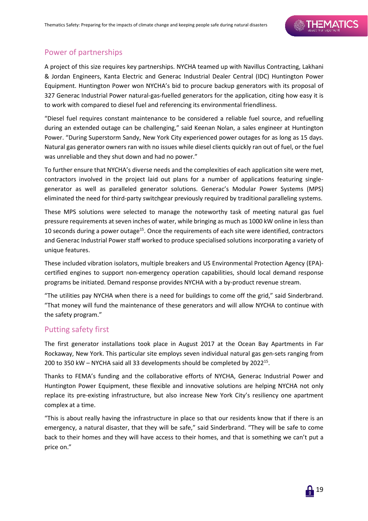## Power of partnerships

A project of this size requires key partnerships. NYCHA teamed up with Navillus Contracting, Lakhani & Jordan Engineers, Kanta Electric and Generac Industrial Dealer Central (IDC) Huntington Power Equipment. Huntington Power won NYCHA's bid to procure backup generators with its proposal of 327 Generac Industrial Power natural-gas-fuelled generators for the application, citing how easy it is to work with compared to diesel fuel and referencing its environmental friendliness.

"Diesel fuel requires constant maintenance to be considered a reliable fuel source, and refuelling during an extended outage can be challenging," said Keenan Nolan, a sales engineer at Huntington Power. "During Superstorm Sandy, New York City experienced power outages for as long as 15 days. Natural gas generator owners ran with no issues while diesel clients quickly ran out of fuel, or the fuel was unreliable and they shut down and had no power."

To further ensure that NYCHA's diverse needs and the complexities of each application site were met, contractors involved in the project laid out plans for a number of applications featuring singlegenerator as well as paralleled generator solutions. Generac's Modular Power Systems (MPS) eliminated the need for third-party switchgear previously required by traditional paralleling systems.

These MPS solutions were selected to manage the noteworthy task of meeting natural gas fuel pressure requirements at seven inches of water, while bringing as much as 1000 kW online in less than 10 seconds during a power outage<sup>15</sup>. Once the requirements of each site were identified, contractors and Generac Industrial Power staff worked to produce specialised solutions incorporating a variety of unique features.

These included vibration isolators, multiple breakers and US Environmental Protection Agency (EPA) certified engines to support non-emergency operation capabilities, should local demand response programs be initiated. Demand response provides NYCHA with a by-product revenue stream.

"The utilities pay NYCHA when there is a need for buildings to come off the grid," said Sinderbrand. "That money will fund the maintenance of these generators and will allow NYCHA to continue with the safety program."

### Putting safety first

The first generator installations took place in August 2017 at the Ocean Bay Apartments in Far Rockaway, New York. This particular site employs seven individual natural gas gen-sets ranging from 200 to 350 kW – NYCHA said all 33 developments should be completed by 202215.

Thanks to FEMA's funding and the collaborative efforts of NYCHA, Generac Industrial Power and Huntington Power Equipment, these flexible and innovative solutions are helping NYCHA not only replace its pre-existing infrastructure, but also increase New York City's resiliency one apartment complex at a time.

"This is about really having the infrastructure in place so that our residents know that if there is an emergency, a natural disaster, that they will be safe," said Sinderbrand. "They will be safe to come back to their homes and they will have access to their homes, and that is something we can't put a price on."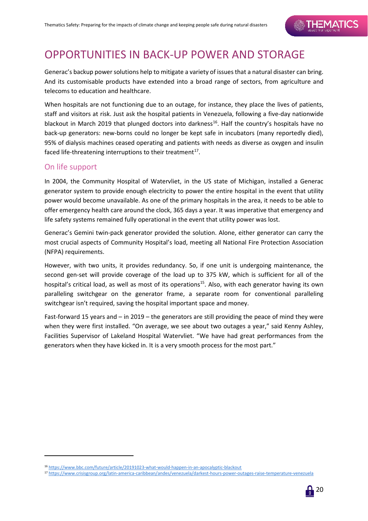## OPPORTUNITIES IN BACK-UP POWER AND STORAGE

Generac's backup power solutions help to mitigate a variety of issues that a natural disaster can bring. And its customisable products have extended into a broad range of sectors, from agriculture and telecoms to education and healthcare.

When hospitals are not functioning due to an outage, for instance, they place the lives of patients, staff and visitors at risk. Just ask the hospital patients in Venezuela, following a five-day nationwide blackout in March 2019 that plunged doctors into darkness<sup>16</sup>. Half the country's hospitals have no back-up generators: new-borns could no longer be kept safe in incubators (many reportedly died), 95% of dialysis machines ceased operating and patients with needs as diverse as oxygen and insulin faced life-threatening interruptions to their treatment $^{17}$  $^{17}$  $^{17}$ .

## On life support

1

In 2004, the Community Hospital of Watervliet, in the US state of Michigan, installed a Generac generator system to provide enough electricity to power the entire hospital in the event that utility power would become unavailable. As one of the primary hospitals in the area, it needs to be able to offer emergency health care around the clock, 365 days a year. It was imperative that emergency and life safety systems remained fully operational in the event that utility power was lost.

Generac's Gemini twin-pack generator provided the solution. Alone, either generator can carry the most crucial aspects of Community Hospital's load, meeting all National Fire Protection Association (NFPA) requirements.

However, with two units, it provides redundancy. So, if one unit is undergoing maintenance, the second gen-set will provide coverage of the load up to 375 kW, which is sufficient for all of the hospital's critical load, as well as most of its operations<sup>15</sup>. Also, with each generator having its own paralleling switchgear on the generator frame, a separate room for conventional paralleling switchgear isn't required, saving the hospital important space and money.

Fast-forward 15 years and – in 2019 – the generators are still providing the peace of mind they were when they were first installed. "On average, we see about two outages a year," said Kenny Ashley, Facilities Supervisor of Lakeland Hospital Watervliet. "We have had great performances from the generators when they have kicked in. It is a very smooth process for the most part."

<span id="page-19-1"></span><sup>17</sup> <https://www.crisisgroup.org/latin-america-caribbean/andes/venezuela/darkest-hours-power-outages-raise-temperature-venezuela>



<span id="page-19-0"></span><sup>16</sup> <https://www.bbc.com/future/article/20191023-what-would-happen-in-an-apocalyptic-blackout>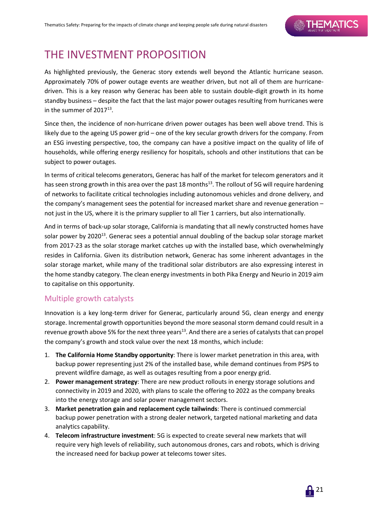## THE INVESTMENT PROPOSITION

As highlighted previously, the Generac story extends well beyond the Atlantic hurricane season. Approximately 70% of power outage events are weather driven, but not all of them are hurricanedriven. This is a key reason why Generac has been able to sustain double-digit growth in its home standby business – despite the fact that the last major power outages resulting from hurricanes were in the summer of  $2017^{13}$ .

Since then, the incidence of non-hurricane driven power outages has been well above trend. This is likely due to the ageing US power grid – one of the key secular growth drivers for the company. From an ESG investing perspective, too, the company can have a positive impact on the quality of life of households, while offering energy resiliency for hospitals, schools and other institutions that can be subject to power outages.

In terms of critical telecoms generators, Generac has half of the market for telecom generators and it has seen strong growth in this area over the past 18 months<sup>13</sup>. The rollout of 5G will require hardening of networks to facilitate critical technologies including autonomous vehicles and drone delivery, and the company's management sees the potential for increased market share and revenue generation – not just in the US, where it is the primary supplier to all Tier 1 carriers, but also internationally.

And in terms of back-up solar storage, California is mandating that all newly constructed homes have solar power by 2020<sup>13</sup>. Generac sees a potential annual doubling of the backup solar storage market from 2017-23 as the solar storage market catches up with the installed base, which overwhelmingly resides in California. Given its distribution network, Generac has some inherent advantages in the solar storage market, while many of the traditional solar distributors are also expressing interest in the home standby category. The clean energy investments in both Pika Energy and Neurio in 2019 aim to capitalise on this opportunity.

### Multiple growth catalysts

Innovation is a key long-term driver for Generac, particularly around 5G, clean energy and energy storage. Incremental growth opportunities beyond the more seasonal storm demand could result in a revenue growth above 5% for the next three years<sup>13</sup>. And there are a series of catalysts that can propel the company's growth and stock value over the next 18 months, which include:

- 1. **The California Home Standby opportunity**: There is lower market penetration in this area, with backup power representing just 2% of the installed base, while demand continues from PSPS to prevent wildfire damage, as well as outages resulting from a poor energy grid.
- 2. **Power management strategy**: There are new product rollouts in energy storage solutions and connectivity in 2019 and 2020, with plans to scale the offering to 2022 as the company breaks into the energy storage and solar power management sectors.
- 3. **Market penetration gain and replacement cycle tailwinds**: There is continued commercial backup power penetration with a strong dealer network, targeted national marketing and data analytics capability.
- 4. **Telecom infrastructure investment**: 5G is expected to create several new markets that will require very high levels of reliability, such autonomous drones, cars and robots, which is driving the increased need for backup power at telecoms tower sites.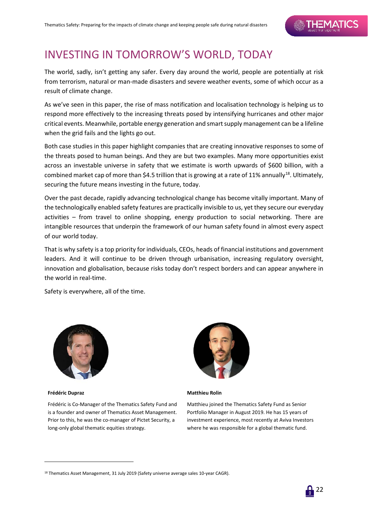# INVESTING IN TOMORROW'S WORLD, TODAY

The world, sadly, isn't getting any safer. Every day around the world, people are potentially at risk from terrorism, natural or man-made disasters and severe weather events, some of which occur as a result of climate change.

As we've seen in this paper, the rise of mass notification and localisation technology is helping us to respond more effectively to the increasing threats posed by intensifying hurricanes and other major critical events. Meanwhile, portable energy generation and smart supply management can be a lifeline when the grid fails and the lights go out.

Both case studies in this paper highlight companies that are creating innovative responses to some of the threats posed to human beings. And they are but two examples. Many more opportunities exist across an investable universe in safety that we estimate is worth upwards of \$600 billion, with a combined market cap of more than \$4.5 trillion that is growing at a rate of 11% annually<sup>18</sup>. Ultimately, securing the future means investing in the future, today.

Over the past decade, rapidly advancing technological change has become vitally important. Many of the technologically enabled safety features are practically invisible to us, yet they secure our everyday activities – from travel to online shopping, energy production to social networking. There are intangible resources that underpin the framework of our human safety found in almost every aspect of our world today.

That is why safety is a top priority for individuals, CEOs, heads of financial institutions and government leaders. And it will continue to be driven through urbanisation, increasing regulatory oversight, innovation and globalisation, because risks today don't respect borders and can appear anywhere in the world in real-time.

Safety is everywhere, all of the time.



**Frédéric Dupraz**

1

Frédéric is Co-Manager of the Thematics Safety Fund and is a founder and owner of Thematics Asset Management. Prior to this, he was the co-manager of Pictet Security, a long-only global thematic equities strategy.



#### **Matthieu Rolin**

Matthieu joined the Thematics Safety Fund as Senior Portfolio Manager in August 2019. He has 15 years of investment experience, most recently at Aviva Investors where he was responsible for a global thematic fund.

<span id="page-21-0"></span><sup>&</sup>lt;sup>18</sup> Thematics Asset Management, 31 July 2019 (Safety universe average sales 10-year CAGR).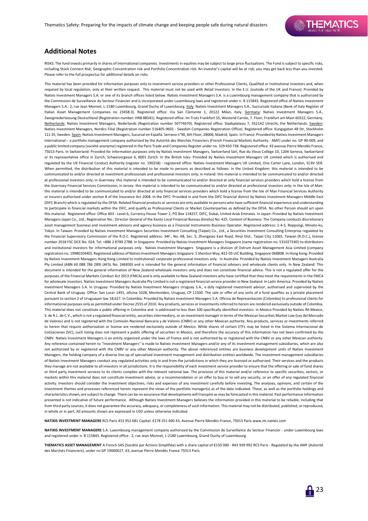#### **Additional Notes**

RISKS: The fund invests primarily in shares of international companies. Investments in equities may be subject to large price fluctuations. The Fund is subject to specific risks including Stock Connect Risk, Geographic Concentration risk and Portfolio Concentration risk. An investor's capital will be at risk; you may get back less than you invested. Please refer to the full prospectus for additional details on risks.

This material has been provided for information purposes only to investment service providers or other Professional Clients, Qualified or Institutional Investors and, when required by local regulation, only at their written request. This material must not be used with Retail Investors. In the E.U. (outside of the UK and France): Provided by Natixis Investment Managers S.A. or one of its branch offices listed below. Natixis Investment Managers S.A. is a Luxembourg management company that is authorized by the Commission de Surveillance du Secteur Financier and is incorporated under Luxembourg laws and registered under n. B 115843. Registered office of Natixis Investment Managers S.A.: 2, rue Jean Monnet, L-2180 Luxembourg, Grand Duchy of Luxembourg. Italy: Natixis Investment Managers S.A., Succursale Italiana (Bank of Italy Register of Italian Asset Management Companies no 23458.3). Registered office: Via San Clemente 1, 20122 Milan, Italy. Germany: Natixis Investment Managers S.A., Zweigniederlassung Deutschland (Registration number: HRB 88541). Registered office: Im Trutz Frankfurt 55, Westend Carrée, 7. Floor, Frankfurt am Main 60322, Germany. Netherlands: Natixis Investment Managers, Nederlands (Registration number 50774670). Registered office: Stadsplateau 7, 3521AZ Utrecht, the Netherlands. Sweden: Natixis Investment Managers, Nordics Filial (Registration number 516405-9601 - Swedish Companies Registration Office). Registered office: Kungsgatan 48 5tr, Stockholm 111 35, Sweden. Spain: Natixis Investment Managers, Sucursal en España. Serrano n°90, 6th Floor, 28006, Madrid, Spain. In France: Provided by Natixis Investment Managers International – a portfolio management company authorized by the Autorité des Marchés Financiers (French Financial Markets Authority - AMF) under no. GP 90-009, and a public limited company (société anonyme) registered in the Paris Trade and Companies Register under no. 329 450 738. Registered office: 43 avenue Pierre Mendès France, 75013 Paris. In Switzerland: Provided for information purposes only by Natixis Investment Managers, Switzerland Sàrl, Rue du Vieux Collège 10, 1204 Geneva, Switzerland or its representative office in Zurich, Schweizergasse 6, 8001 Zürich. In the British Isles: Provided by Natixis Investment Managers UK Limited which is authorised and regulated by the UK Financial Conduct Authority (register no. 190258) - registered office: Natixis Investment Managers UK Limited, One Carter Lane, London, EC4V 5ER. When permitted, the distribution of this material is intended to be made to persons as described as follows: in the United Kingdom: this material is intended to be communicated to and/or directed at investment professionals and professional investors only; in Ireland: this material is intended to be communicated to and/or directed at professional investors only; in Guernsey: this material is intended to be communicated to and/or directed at only financial services providers which hold a license from the Guernsey Financial Services Commission; in Jersey: this material is intended to be communicated to and/or directed at professional investors only; in the Isle of Man: this material is intended to be communicated to and/or directed at only financial services providers which hold a license from the Isle of Man Financial Services Authority or insurers authorised under section 8 of the Insurance Act 2008. In the DIFC: Provided in and from the DIFC financial district by Natixis Investment Managers Middle East (DIFC Branch) which is regulated by the DFSA. Related financial products or services are only available to persons who have sufficient financial experience and understanding to participate in financial markets within the DIFC, and qualify as Professional Clients or Market Counterparties as defined by the DFSA. No other Person should act upon this material. Registered office: Office 603 - Level 6, Currency House Tower 2, PO Box 118257, DIFC, Dubai, United Arab Emirates. In Japan: Provided by Natixis Investment Managers Japan Co., Ltd., Registration No.: Director-General of the Kanto Local Financial Bureau (kinsho) No. 425. Content of Business: The Company conducts discretionary asset management business and investment advisory and agency business as a Financial Instruments Business Operator. Registered address: 1-4-5, Roppongi, Minato-ku, Tokyo. In Taiwan: Provided by Natixis Investment Managers Securities Investment Consulting (Taipei) Co., Ltd., a Securities Investment Consulting Enterprise regulated by the Financial Supervisory Commission of the R.O.C. Registered address: 34F., No. 68, Sec. 5, Zhongxiao East Road, Xinyi Dist., Taipei City 11065, Taiwan (R.O.C.), license number 2018 FSC SICE No. 024, Tel. +886 2 8789 2788. In Singapore: Provided by Natixis Investment Managers Singapore (name registration no. 53102724D) to distributors and institutional investors for informational purposes only. Natixis Investment Managers Singapore is a division of Ostrum Asset Management Asia Limited (company registration no. 199801044D). Registered address of Natixis Investment Managers Singapore: 5 Shenton Way, #22-05 UIC Building, Singapore 068808. In Hong Kong: Provided by Natixis Investment Managers Hong Kong Limited to institutional/ corporate professional investors only. In Australia: Provided by Natixis Investment Managers Australia Pty Limited (ABN 60 088 786 289) (AFSL No. 246830) and is intended for the general information of financial advisers and wholesale clients only. In New Zealand: This document is intended for the general information of New Zealand wholesale investors only and does not constitute financial advice. This is not a regulated offer for the purposes of the Financial Markets Conduct Act 2013 (FMCA) and is only available to New Zealand investors who have certified that they meet the requirements in the FMCA for wholesale investors. Natixis Investment Managers Australia Pty Limited is not a registered financial service provider in New Zealand. In Latin America: Provided by Natixis Investment Managers S.A. In Uruguay: Provided by Natixis Investment Managers Uruguay S.A., a duly registered investment advisor, authorised and supervised by the Central Bank of Uruguay. Office: San Lucar 1491, oficina 102B, Montevideo, Uruguay, CP 11500. The sale or offer of any units of a fund qualifies as a private placement pursuant to section 2 of Uruguayan law 18,627. In Colombia: Provided by Natixis Investment Managers S.A. Oficina de Representación (Colombia) to professional clients for informational purposes only as permitted under Decree 2555 of 2010. Any products, services or investments referred to herein are rendered exclusively outside of Colombia. This material does not constitute a public offering in Colombia and is addressed to less than 100 specifically identified investors. In Mexico Provided by Natixis IM Mexico, S. de R.L. de C.V., which is not a regulated financial entity, securities intermediary, or an investment manager in terms of the Mexican Securities Market Law (Ley del Mercado de Valores) and is not registered with the Comisión Nacional Bancaria y de Valores (CNBV) or any other Mexican authority. Any products, services or investments referred to herein that require authorization or license are rendered exclusively outside of Mexico. While shares of certain ETFs may be listed in the Sistema Internacional de Cotizaciones (SIC), such listing does not represent a public offering of securities in Mexico, and therefore the accuracy of this information has not been confirmed by the CNBV. Natixis Investment Managers is an entity organized under the laws of France and is not authorized by or registered with the CNBV or any other Mexican authority. Any reference contained herein to "Investment Managers" is made to Natixis Investment Managers and/or any of its investment management subsidiaries, which are also not authorized by or registered with the CNBV or any other Mexican authority. The above referenced entities are business development units of Natixis Investment Managers, the holding company of a diverse line-up of specialised investment management and distribution entities worldwide. The investment management subsidiaries of Natixis Investment Managers conduct any regulated activities only in and from the jurisdictions in which they are licensed or authorized. Their services and the products they manage are not available to all investors in all jurisdictions. It is the responsibility of each investment service provider to ensure that the offering or sale of fund shares or third party investment services to its clients complies with the relevant national law. The provision of this material and/or reference to specific securities, sectors, or markets within this material does not constitute investment advice, or a recommendation or an offer to buy or to sell any security, or an offer of any regulated financial activity. Investors should consider the investment objectives, risks and expenses of any investment carefully before investing. The analyses, opinions, and certain of the investment themes and processes referenced herein represent the views of the portfolio manager(s) as of the date indicated. These, as well as the portfolio holdings and characteristics shown, are subject to change. There can be no assurance that developments will transpire as may be forecasted in this material. Past performance information presented is not indicative of future performance. Although Natixis Investment Managers believes the information provided in this material to be reliable, including that from third party sources, it does not guarantee the accuracy, adequacy, or completeness of such information. This material may not be distributed, published, or reproduced. in whole or in part. All amounts shown are expressed in USD unless otherwise indicated.

**NATIXIS INVESTMENT MANAGERS** RCS Paris 453 952 681 Capital: €178 251 690 43, Avenue Pierre Mendès-France, 75013 Paris www.im.natixis.com

NATIXIS INVESTMENT MANAGERS S.A. Luxembourg management company authorized by the Commission de Surveillance du Secteur Financier - under Luxembourg laws and registered under n. B 115843. Registered office : 2, rue Jean Monnet, L-2180 Luxembourg, Grand Duchy of Luxembourg.

**THEMATICS ASSET MANAGEMENT** A French SAS (Société par Actions Simplifiée) with a share capital of €150 000 - 843 939 992 RCS Paris - Regulated by the AMF (Autorité des Marchés Financiers), under no GP 19000027. 43, avenue Pierre Mendès France 75013 Paris